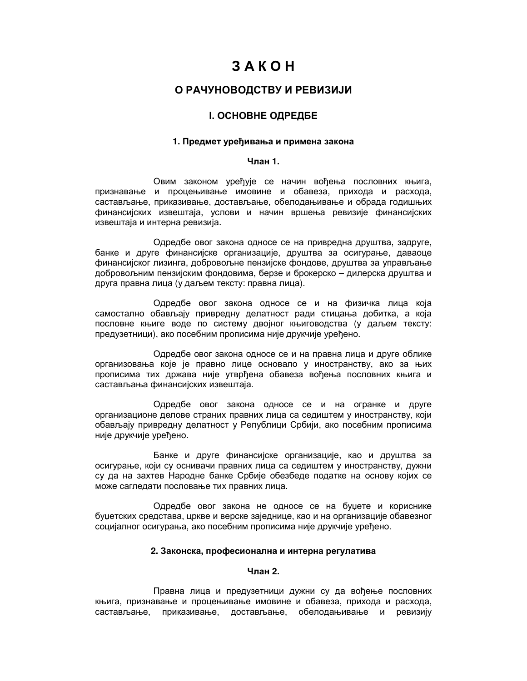# $3A K$   $O$   $H$

# О РАЧУНОВОДСТВУ И РЕВИЗИЈИ

# **I. ОСНОВНЕ ОДРЕДБЕ**

# 1. Предмет уређивања и примена закона

### Члан 1.

Овим законом уређује се начин вођења пословних књига, признавање и процењивање имовине и обавеза, прихода и расхода, састављање, приказивање, достављање, обелодањивање и обрада годишњих финансијских извештаја, услови и начин вршења ревизије финансијских извештаја и интерна ревизија.

Одредбе овог закона односе се на привредна друштва, задруге, банке и друге финансијске организације, друштва за осигурање, даваоце финансијског лизинга, добровољне пензијске фондове, друштва за управљање добровољним пензијским фондовима, берзе и брокерско - дилерска друштва и друга правна лица (у даљем тексту: правна лица).

Одредбе овог закона односе се и на физичка лица која самостално обављају привредну делатност ради стицања добитка, а која пословне књиге воде по систему двојног књиговодства (у даљем тексту: предузетници), ако посебним прописима није друкчије уређено.

Одредбе овог закона односе се и на правна лица и друге облике организовања које је правно лице основало у иностранству, ако за њих прописима тих држава није утврђена обавеза вођења пословних књига и састављања финансијских извештаја.

Одредбе овог закона односе се и на огранке и друге организационе делове страних правних лица са седиштем у иностранству, који обављају привредну делатност у Републици Србији, ако посебним прописима није друкчије уређено.

Банке и друге финансијске организације, као и друштва за осигурање, који су оснивачи правних лица са седиштем у иностранству, дужни су да на захтев Народне банке Србије обезбеде податке на основу којих се може сагледати пословање тих правних лица.

Одредбе овог закона не односе се на буџете и кориснике буџетских средстава, цркве и верске заједнице, као и на организације обавезног социјалног осигурања, ако посебним прописима није друкчије уређено.

### 2. Законска, професионална и интерна регулатива

### Члан 2.

Правна лица и предузетници дужни су да вођење пословних књига, признавање и процењивање имовине и обавеза, прихода и расхода, састављање, приказивање, достављање, обелодањивање и ревизију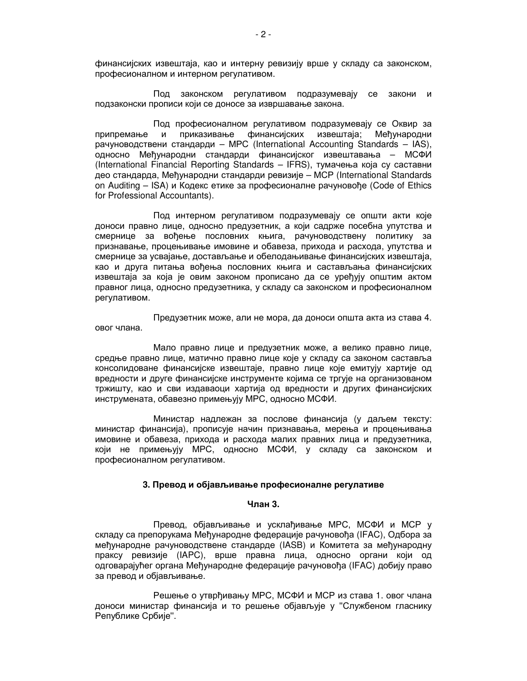финансијских извештаја, као и интерну ревизију врше у складу са законском, професионалном и интерном регулативом.

Под законском регулативом подразумевају се закони и подзаконски прописи који се доносе за извршавање закона.

Под професионалном регулативом подразумевају се Оквир за приказивање финансијских извештаја: Мећународни припремање  $\mathsf{M}$ рачуноводствени стандарди - MPC (International Accounting Standards - IAS), односно Међународни стандарди финансијског извештавања - МСФИ (International Financial Reporting Standards - IFRS), тумачења која су саставни део стандарда, Међународни стандарди ревизије – МСР (International Standards) on Auditing - ISA) и Кодекс етике за професионалне рачуновође (Code of Ethics for Professional Accountants).

Под интерном регулативом подразумевају се општи акти које доноси правно лице, односно предузетник, а који садрже посебна упутства и смернице за вођење пословних књига, рачуноводствену политику за признавање, процењивање имовине и обавеза, прихода и расхода, упутства и смернице за усвајање, достављање и обелодањивање финансијских извештаја, као и друга питања вођења пословних књига и састављања финансијских извештаја за која је овим законом прописано да се уређују општим актом правног лица, односно предузетника, у складу са законском и професионалном регулативом.

Предузетник може, али не мора, да доноси општа акта из става 4. овог члана.

Мало правно лице и предузетник може, а велико правно лице, средње правно лице, матично правно лице које у складу са законом саставља консолидоване финансијске извештаје, правно лице које емитују хартије од вредности и друге финансијске инструменте којима се тргује на организованом тржишту, као и сви издаваоци хартија од вредности и других финансијских инструмената, обавезно примењују МРС, односно МСФИ.

Министар надлежан за послове финансија (у даљем тексту: министар финансија), прописује начин признавања, мерења и процењивања имовине и обавеза, прихода и расхода малих правних лица и предузетника, који не примењују МРС, односно МСФИ, у складу са законском и професионалном регулативом.

### 3. Превод и објављивање професионалне регулативе

### Члан 3.

Превод, објављивање и усклађивање МРС, МСФИ и МСР у складу са препорукама Међународне федерације рачуновођа (IFAC), Одбора за међународне рачуноводствене стандарде (IASB) и Комитета за међународну праксу ревизије (IAPC), врше правна лица, односно органи који од одговарајућег органа Међународне федерације рачуновођа (IFAC) добију право за превод и објављивање.

Решење о утврђивању МРС, МСФИ и МСР из става 1. овог члана доноси министар финансија и то решење објављује у "Службеном гласнику Републике Србије".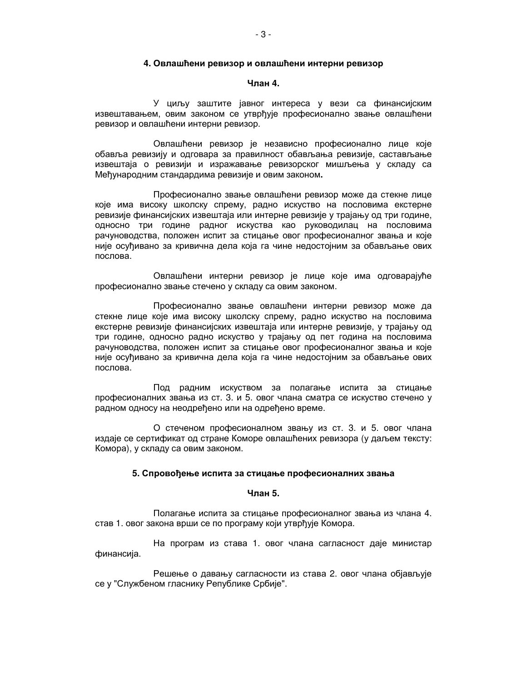### 4. Овлашћени ревизор и овлашћени интерни ревизор

# Члан 4.

У циљу заштите јавног интереса у вези са финансијским извештавањем, овим законом се утврђује професионално звање овлашћени ревизор и овлашћени интерни ревизор.

Овлашћени ревизор је независно професионално лице које обавља ревизију и одговара за правилност обављања ревизије, састављање извештаја о ревизији и изражавање ревизорског мишљења у складу са Међународним стандардима ревизије и овим законом.

Професионално звање овлашћени ревизор може да стекне лице које има високу школску спрему, радно искуство на пословима екстерне ревизије финансијских извештаја или интерне ревизије у трајању од три године, односно три године радног искуства као руководилац на пословима рачуноводства, положен испит за стицање овог професионалног звања и које није осуђивано за кривична дела која га чине недостојним за обављање ових послова.

Овлашћени интерни ревизор је лице које има одговарајуће професионално звање стечено у складу са овим законом.

Професионално звање овлашћени интерни ревизор може да стекне лице које има високу школску спрему, радно искуство на пословима екстерне ревизије финансијских извештаја или интерне ревизије, у трајању од три године, односно радно искуство у трајању од пет година на пословима рачуноводства, положен испит за стицање овог професионалног звања и које није осуђивано за кривична дела која га чине недостојним за обављање ових послова.

Под радним искуством за полагање испита за стицање професионалних звања из ст. 3. и 5. овог члана сматра се искуство стечено у радном односу на неодређено или на одређено време.

О стеченом професионалном звању из ст. 3. и 5. овог члана издаје се сертификат од стране Коморе овлашћених ревизора (у даљем тексту: Комора), у складу са овим законом.

# 5. Спровођење испита за стицање професионалних звања

### Члан 5.

Полагање испита за стицање професионалног звања из члана 4. став 1. овог закона врши се по програму који утврђује Комора.

На програм из става 1. овог члана сагласност даје министар финансија.

Решење о давању сагласности из става 2. овог члана објављује се у "Службеном гласнику Републике Србије".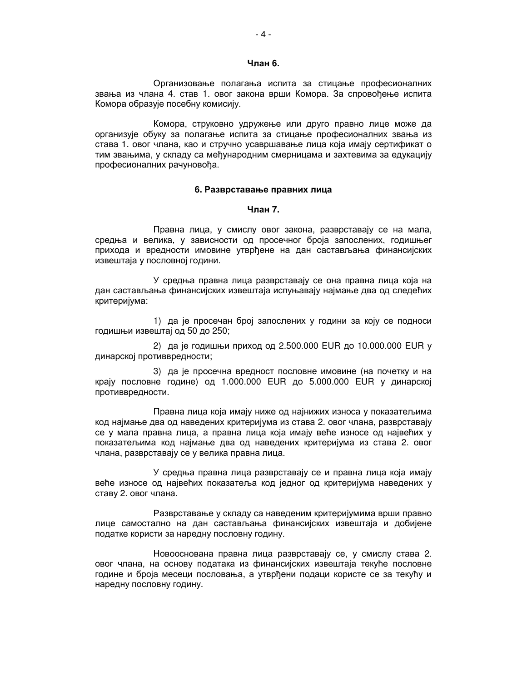### Члан 6.

Организовање полагања испита за стицање професионалних звања из члана 4. став 1. овог закона врши Комора. За спровођење испита Комора образује посебну комисију.

Комора, струковно удружење или друго правно лице може да организује обуку за полагање испита за стицање професионалних звања из става 1. овог члана, као и стручно усавршавање лица која имају сертификат о тим звањима, у складу са међународним смерницама и захтевима за едукацију професионалних рачуновоћа.

### 6. Разврставање правних лица

# Члан 7.

Правна лица, у смислу овог закона, разврставају се на мала, средња и велика, у зависности од просечног броја запослених, годишњег прихода и вредности имовине утврђене на дан састављања финансијских извештаја у пословној години.

У средња правна лица разврставају се она правна лица која на дан састављања финансијских извештаја испуњавају најмање два од следећих критеријума:

1) да је просечан број запослених у години за коју се подноси годишњи извештај од 50 до 250;

2) да је годишњи приход од 2.500.000 EUR до 10.000.000 EUR у динарској противвредности;

3) да је просечна вредност пословне имовине (на почетку и на крају пословне године) од 1.000.000 EUR до 5.000.000 EUR у динарској противвредности.

Правна лица која имају ниже од најнижих износа у показатељима код најмање два од наведених критеријума из става 2. овог члана, разврставају се у мала правна лица, а правна лица која имају веће износе од највећих у показатељима код најмање два од наведених критеријума из става 2. овог члана, разврставају се у велика правна лица.

У средња правна лица разврставају се и правна лица која имају веће износе од највећих показатеља код једног од критеријума наведених у ставу 2. овог члана.

Разврставање у складу са наведеним критеријумима врши правно лице самостално на дан састављања финансијских извештаја и добијене податке користи за наредну пословну годину.

Новооснована правна лица разврставају се, у смислу става 2. овог члана, на основу података из финансијских извештаја текуће пословне године и броја месеци пословања, а утврђени подаци користе се за текућу и наредну пословну годину.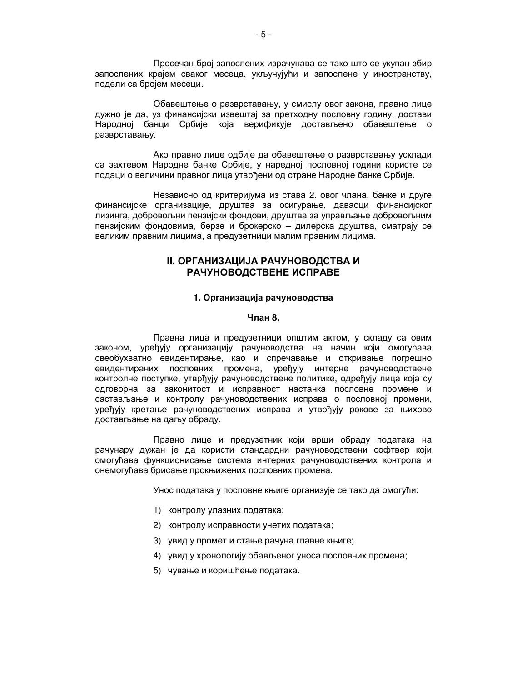Просечан број запослених израчунава се тако што се укупан збир запослених крајем сваког месеца, укључујући и запослене у иностранству, подели са бројем месеци.

Обавештење о разврставању, у смислу овог закона, правно лице дужно је да, уз финансијски извештај за претходну пословну годину, достави Народној банци Србије која верификује достављено обавештење о разврставању.

Ако правно лице одбије да обавештење о разврставању усклади са захтевом Народне банке Србије, у наредној пословној години користе се подаци о величини правног лица утврђени од стране Народне банке Србије.

Независно од критеријума из става 2. овог члана, банке и друге финансијске организације, друштва за осигурање, даваоци финансијског лизинга, добровољни пензијски фондови, друштва за управљање добровољним пензијским фондовима, берзе и брокерско - дилерска друштва, сматрају се великим правним лицима, а предузетници малим правним лицима.

# **II. ОРГАНИЗАЦИЈА РАЧУНОВОДСТВА И** РАЧУНОВОДСТВЕНЕ ИСПРАВЕ

# 1. Организација рачуноводства

### Члан 8.

Правна лица и предузетници општим актом, у складу са овим законом, уређују организацију рачуноводства на начин који омогућава свеобухватно евидентирање, као и спречавање и откривање погрешно евидентираних пословних промена, уређују интерне рачуноводствене контролне поступке, утврђују рачуноводствене политике, одређују лица која су одговорна за законитост и исправност настанка пословне промене и састављање и контролу рачуноводствених исправа о пословној промени, уређују кретање рачуноводствених исправа и утврђују рокове за њихово достављање на даљу обраду.

Правно лице и предузетник који врши обраду података на рачунару дужан је да користи стандардни рачуноводствени софтвер који омогућава функционисање система интерних рачуноводствених контрола и онемогућава брисање прокњижених пословних промена.

Унос података у пословне књиге организује се тако да омогући:

- 1) контролу улазних података;
- 2) контролу исправности унетих података;
- 3) увид у промет и стање рачуна главне књиге;
- 4) увид у хронологију обављеног уноса пословних промена;
- 5) чување и коришћење података.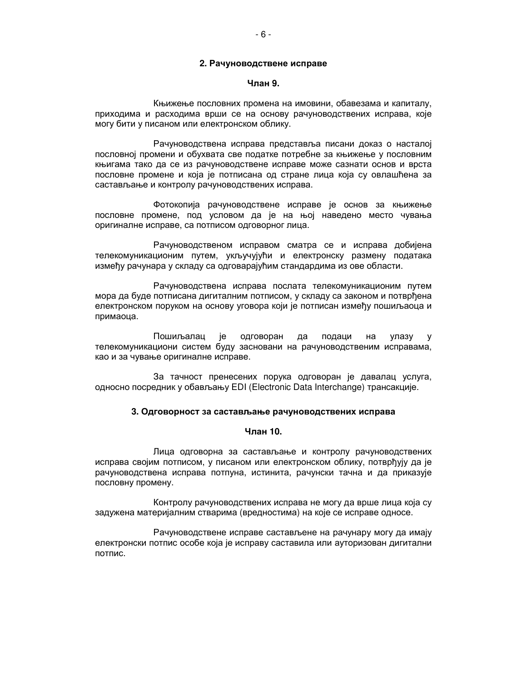### 2. Рачуноводствене исправе

# Члан 9.

Књижење пословних промена на имовини, обавезама и капиталу, приходима и расходима врши се на основу рачуноводствених исправа, које могу бити у писаном или електронском облику.

Рачуноводствена исправа представља писани доказ о насталој пословној промени и обухвата све податке потребне за књижење у пословним књигама тако да се из рачуноводствене исправе може сазнати основ и врста пословне промене и која је потписана од стране лица која су овлашћена за састављање и контролу рачуноводствених исправа.

Фотокопија рачуноводствене исправе је основ за књижење пословне промене, под условом да је на њој наведено место чувања оригиналне исправе, са потписом одговорног лица.

Рачуноводственом исправом сматра се и исправа добијена телекомуникационим путем, укључујући и електронску размену података између рачунара у складу са одговарајућим стандардима из ове области.

Рачуноводствена исправа послата телекомуникационим путем мора да буде потписана дигиталним потписом, у складу са законом и потврђена електронском поруком на основу уговора који је потписан између пошиљаоца и примаоца.

Пошиљалац је одговоран да подаци на улазу y телекомуникациони систем буду засновани на рачуноводственим исправама, као и за чување оригиналне исправе.

За тачност пренесених порука одговоран је давалац услуга, односно посредник у обављању EDI (Electronic Data Interchange) трансакције.

### 3. Одговорност за састављање рачуноводствених исправа

#### Члан 10.

Лица одговорна за састављање и контролу рачуноводствених исправа својим потписом, у писаном или електронском облику, потврђују да је рачуноводствена исправа потпуна, истинита, рачунски тачна и да приказује пословну промену.

Контролу рачуноводствених исправа не могу да врше лица која су задужена материјалним стварима (вредностима) на које се исправе односе.

Рачуноводствене исправе састављене на рачунару могу да имају електронски потпис особе која је исправу саставила или ауторизован дигитални потпис.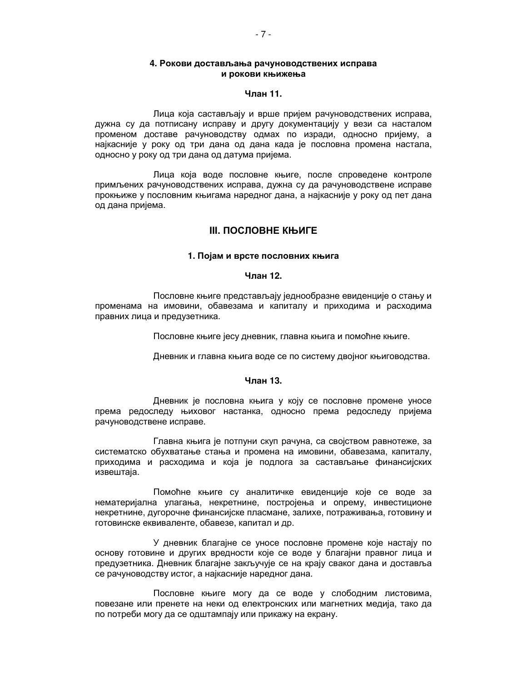# 4. Рокови достављања рачуноводствених исправа и рокови књижења

### Члан 11.

Лица која састављају и врше пријем рачуноводствених исправа, дужна су да потписану исправу и другу документацију у вези са насталом променом доставе рачуноводству одмах по изради, односно пријему, а најкасније у року од три дана од дана када је пословна промена настала, односно у року од три дана од датума пријема.

Лица која воде пословне књиге, после спроведене контроле примљених рачуноводствених исправа, дужна су да рачуноводствене исправе прокњиже у пословним књигама наредног дана, а најкасније у року од пет дана од дана пријема.

# **III. ПОСЛОВНЕ КЊИГЕ**

### 1. Појам и врсте пословних књига

# Члан 12.

Пословне књиге представљају једнообразне евиденције о стању и променама на имовини, обавезама и капиталу и приходима и расходима правних лица и предузетника.

Пословне књиге јесу дневник, главна књига и помоћне књиге.

Дневник и главна књига воде се по систему двојног књиговодства.

#### Члан 13.

Дневник је пословна књига у коју се пословне промене уносе према редоследу њиховог настанка, односно према редоследу пријема рачуноводствене исправе.

Главна књига је потпуни скуп рачуна, са својством равнотеже, за систематско обухватање стања и промена на имовини, обавезама, капиталу, приходима и расходима и која је подлога за састављање финансијских извештаја.

Помоћне књиге су аналитичке евиденције које се воде за нематеријална улагања, некретнине, постројења и опрему, инвестиционе некретнине, дугорочне финансијске пласмане, залихе, потраживања, готовину и готовинске еквиваленте, обавезе, капитал и др.

У дневник благајне се уносе пословне промене које настају по основу готовине и других вредности које се воде у благајни правног лица и предузетника. Дневник благајне закључује се на крају сваког дана и доставља се рачуноводству истог, а најкасније наредног дана.

Пословне књиге могу да се воде у слободним листовима, повезане или пренете на неки од електронских или магнетних медија, тако да по потреби могу да се одштампају или прикажу на екрану.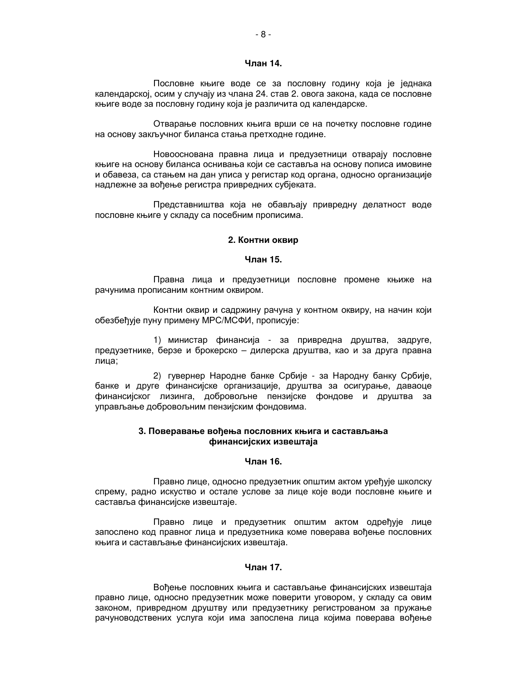### Члан 14.

Пословне књиге воде се за пословну годину која је једнака календарској, осим у случају из члана 24. став 2. овога закона, када се пословне књиге воде за пословну годину која је различита од календарске.

Отварање пословних књига врши се на почетку пословне године на основу закључног биланса стања претходне године.

Новооснована правна лица и предузетници отварају пословне књиге на основу биланса оснивања који се саставља на основу пописа имовине и обавеза, са стањем на дан уписа у регистар код органа, односно организације надлежне за вођење регистра привредних субјеката.

Представништва која не обављају привредну делатност воде пословне књиге у складу са посебним прописима.

### 2. Контни оквир

# Члан 15.

Правна лица и предузетници пословне промене књиже на рачунима прописаним контним оквиром.

Контни оквир и садржину рачуна у контном оквиру, на начин који обезбећује пуну примену МРС/МСФИ, прописује:

1) министар финансија - за привредна друштва, задруге, предузетнике, берзе и брокерско - дилерска друштва, као и за друга правна лица:

2) гувернер Народне банке Србије - за Народну банку Србије, банке и друге финансијске организације, друштва за осигурање, даваоце финансијског лизинга, добровољне пензијске фондове и друштва за управљање добровољним пензијским фондовима.

### 3. Поверавање вођења пословних књига и састављања финансијских извештаја

# Члан 16.

Правно лице, односно предузетник општим актом уређује школску спрему, радно искуство и остале услове за лице које води пословне књиге и саставља финансијске извештаје.

Правно лице и предузетник општим актом одређује лице запослено код правног лица и предузетника коме поверава вођење пословних књига и састављање финансијских извештаја.

# Члан 17.

Вођење пословних књига и састављање финансијских извештаја правно лице, односно предузетник може поверити уговором, у складу са овим законом, привредном друштву или предузетнику регистрованом за пружање рачуноводствених услуга који има запослена лица којима поверава вођење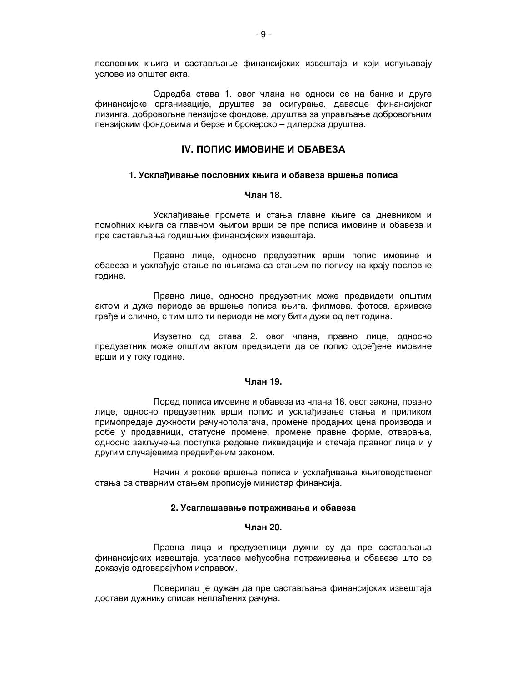пословних књига и састављање финансијских извештаја и који испуњавају услове из општег акта.

Одредба става 1. овог члана не односи се на банке и друге финансијске организације, друштва за осигурање, даваоце финансијског лизинга, добровољне пензијске фондове, друштва за управљање добровољним пензијским фондовима и берзе и брокерско - дилерска друштва.

# **IV. ПОПИС ИМОВИНЕ И ОБАВЕЗА**

### 1. Усклађивање пословних књига и обавеза вршења пописа

### Члан 18.

Усклађивање промета и стања главне књиге са дневником и помоћних књига са главном књигом врши се пре пописа имовине и обавеза и пре састављања годишњих финансијских извештаја.

Правно лице, односно предузетник врши попис имовине и обавеза и усклађује стање по књигама са стањем по попису на крају пословне године.

Правно лице, односно предузетник може предвидети општим актом и дуже периоде за вршење пописа књига, филмова, фотоса, архивске грађе и слично, с тим што ти периоди не могу бити дужи од пет година.

Изузетно од става 2. овог члана, правно лице, односно предузетник може општим актом предвидети да се попис одређене имовине врши и у току године.

### Чпан 19.

Поред пописа имовине и обавеза из члана 18. овог закона, правно лице, односно предузетник врши попис и усклађивање стања и приликом примопредаје дужности рачунополагача, промене продајних цена производа и робе у продавници, статусне промене, промене правне форме, отварања, односно закључења поступка редовне ликвидације и стечаја правног лица и у другим случајевима предвиђеним законом.

Начин и рокове вршења пописа и усклађивања књиговодственог стања са стварним стањем прописује министар финансија.

### 2. Усаглашавање потраживања и обавеза

# Чпан 20.

Правна лица и предузетници дужни су да пре састављања финансијских извештаја, усагласе међусобна потраживања и обавезе што се доказује одговарајућом исправом.

Поверилац је дужан да пре састављања финансијских извештаја достави дужнику списак неплаћених рачуна.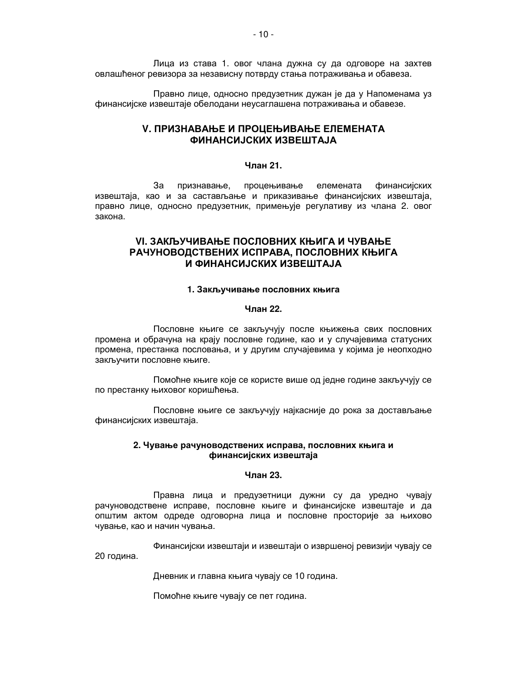Лица из става 1. овог члана дужна су да одговоре на захтев овлашћеног ревизора за независну потврду стања потраживања и обавеза.

Правно лице, односно предузетник дужан је да у Напоменама уз финансијске извештаје обелодани неусаглашена потраживања и обавезе.

# **V. ПРИЗНАВАЊЕ И ПРОЦЕЊИВАЊЕ ЕЛЕМЕНАТА ФИНАНСИЈСКИХ ИЗВЕШТАЈА**

# Члан 21.

За признавање, процењивање елемената **финансијских** извештаја, као и за састављање и приказивање финансијских извештаја, правно лице, односно предузетник, примењује регулативу из члана 2. овог закона.

# **VI. ЗАКЉУЧИВАЊЕ ПОСЛОВНИХ КЊИГА И ЧУВАЊЕ** РАЧУНОВОДСТВЕНИХ ИСПРАВА, ПОСЛОВНИХ КЊИГА И ФИНАНСИЈСКИХ ИЗВЕШТАЈА

# 1. Закључивање пословних књига

### Члан 22.

Пословне књиге се закључују после књижења свих пословних промена и обрачуна на крају пословне године, као и у случајевима статусних промена, престанка пословања, и у другим случајевима у којима је неопходно закључити пословне књиге.

Помоћне књиге које се користе више од једне године закључују се по престанку њиховог коришћења.

Пословне књиге се закључују најкасније до рока за достављање финансијских извештаја.

# 2. Чување рачуноводствених исправа, пословних књига и финансијских извештаја

# Чпан 23.

Правна лица и предузетници дужни су да уредно чувају рачуноводствене исправе, пословне књиге и финансијске извештаје и да општим актом одреде одговорна лица и пословне просторије за њихово чување, као и начин чувања.

Финансијски извештаји и извештаји о извршеној ревизији чувају се 20 година.

Дневник и главна књига чувају се 10 година.

Помоћне књиге чувају се пет година.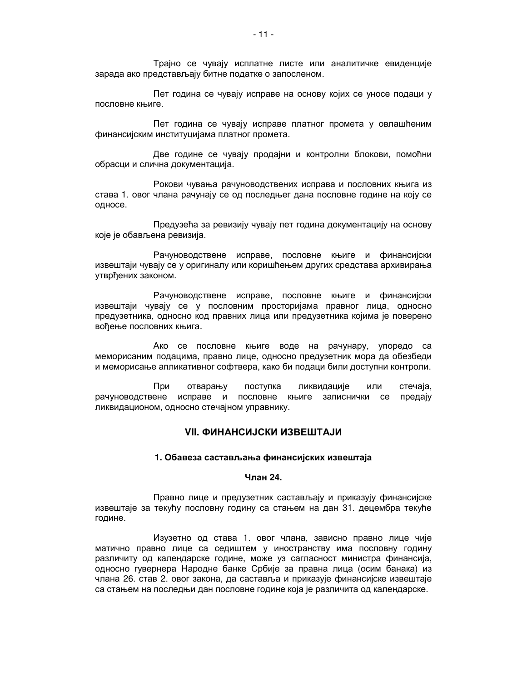Трајно се чувају исплатне листе или аналитичке евиденције зарада ако представљају битне податке о запосленом.

Пет година се чувају исправе на основу којих се уносе подаци у пословне књиге.

Пет година се чувају исправе платног промета у овлашћеним финансијским институцијама платног промета.

Две године се чувају продајни и контролни блокови, помоћни обрасци и слична документација.

Рокови чувања рачуноводствених исправа и пословних књига из става 1. овог члана рачунају се од последњег дана пословне године на коју се односе.

Предузећа за ревизију чувају пет година документацију на основу које је обављена ревизија.

Рачуноводствене исправе, пословне књиге и финансијски извештаји чувају се у оригиналу или коришћењем других средстава архивирања утврђених законом.

Рачуноводствене исправе, пословне књиге и финансијски извештаји чувају се у пословним просторијама правног лица, односно предузетника, односно код правних лица или предузетника којима је поверено вођење пословних књига.

Ако се пословне књиге воде на рачунару, упоредо са меморисаним подацима, правно лице, односно предузетник мора да обезбеди и меморисање апликативног софтвера, како би подаци били доступни контроли.

При отварању поступка ликвидације или стечаја, рачуноводствене исправе и пословне књиге записнички се предају ликвидационом, односно стечајном управнику.

# **VII. ФИНАНСИЈСКИ ИЗВЕШТАЈИ**

#### 1. Обавеза састављања финансијских извештаја

### Чпан 24.

Правно лице и предузетник састављају и приказују финансијске извештаје за текућу пословну годину са стањем на дан 31. децембра текуће године.

Изузетно од става 1. овог члана, зависно правно лице чије матично правно лице са седиштем у иностранству има пословну годину различиту од календарске године, може уз сагласност министра финансија, односно гувернера Народне банке Србије за правна лица (осим банака) из члана 26. став 2. овог закона, да саставља и приказује финансијске извештаје са стањем на последњи дан пословне године која је различита од календарске.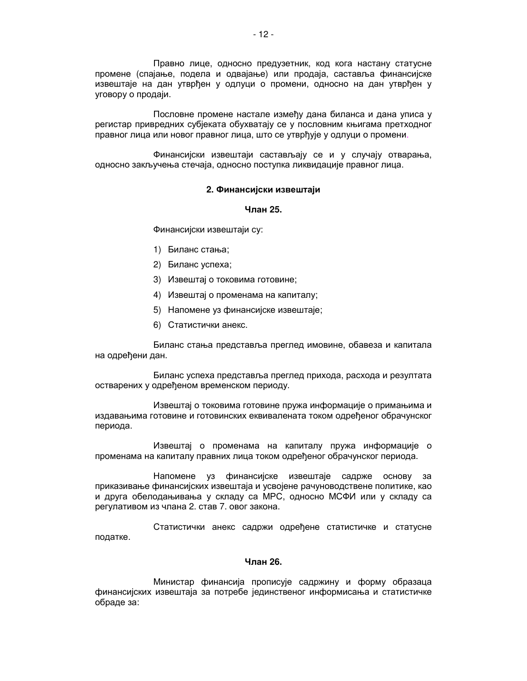Правно лице, односно предузетник, код кога настану статусне промене (спајање, подела и одвајање) или продаја, саставља финансијске извештаје на дан утврђен у одлуци о промени, односно на дан утврђен у уговору о продаји.

Пословне промене настале између дана биланса и дана уписа у регистар привредних субјеката обухватају се у пословним књигама претходног правног лица или новог правног лица, што се утврђује у одлуци о промени.

Финансијски извештаји састављају се и у случају отварања, односно закључења стечаја, односно поступка ликвидације правног лица.

### 2. Финансијски извештаји

# Члан 25.

Финансијски извештаји су:

- 1) Биланс стања;
- 2) Биланс успеха;
- 3) Извештај о токовима готовине;
- 4) Извештај о променама на капиталу;
- 5) Напомене уз финансијске извештаје;
- 6) Статистички анекс.

Биланс стања представља преглед имовине, обавеза и капитала на одређени дан.

Биланс успеха представља преглед прихода, расхода и резултата остварених у одређеном временском периоду.

Извештај о токовима готовине пружа информације о примањима и издавањима готовине и готовинских еквивалената током одрећеног обрачунског периода.

Извештај о променама на капиталу пружа информације о променама на капиталу правних лица током одређеног обрачунског периода.

Напомене уз финансијске извештаје садрже основу за приказивање финансијских извештаја и усвојене рачуноводствене политике, као и друга обелодањивања у складу са МРС, односно МСФИ или у складу са регулативом из члана 2. став 7. овог закона.

Статистички анекс садржи одређене статистичке и статусне податке.

### Члан 26.

Министар финансија прописује садржину и форму образаца финансијских извештаја за потребе јединственог информисања и статистичке обраде за: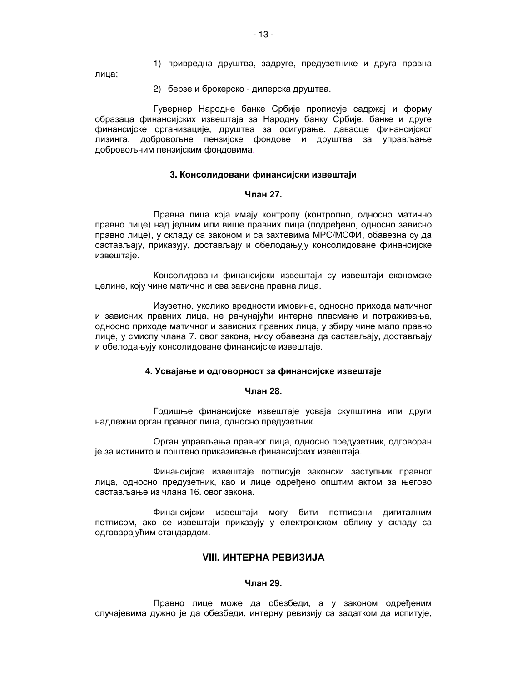1) привредна друштва, задруге, предузетнике и друга правна

лица;

2) берзе и брокерско - дилерска друштва.

Гувернер Народне банке Србије прописује садржај и форму образаца финансијских извештаја за Народну банку Србије, банке и друге финансијске организације, друштва за осигурање, даваоце финансијског лизинга, добровољне пензијске фондове и друштва за управљање добровољним пензијским фондовима.

### 3. Консолидовани финансијски извештаји

# **Чпан 27**

Правна лица која имају контролу (контролно, односно матично правно лице) над једним или више правних лица (подређено, односно зависно правно лице), у складу са законом и са захтевима МРС/МСФИ, обавезна су да састављају, приказују, достављају и обелодањују консолидоване финансијске извештаје.

Консолидовани финансијски извештаји су извештаји економске целине, коју чине матично и сва зависна правна лица.

Изузетно, уколико вредности имовине, односно прихода матичног и зависних правних лица, не рачунајући интерне пласмане и потраживања, односно приходе матичног и зависних правних лица, у збиру чине мало правно лице, у смислу члана 7. овог закона, нису обавезна да састављају, достављају и обелодањују консолидоване финансијске извештаје.

# 4. Усвајање и одговорност за финансијске извештаје

#### Члан 28.

Годишње финансијске извештаје усваја скупштина или други надлежни орган правног лица, односно предузетник.

Орган управљања правног лица, односно предузетник, одговоран је за истинито и поштено приказивање финансијских извештаја.

Финансијске извештаје потписује законски заступник правног лица, односно предузетник, као и лице одређено општим актом за његово састављање из члана 16. овог закона.

Финансијски извештаји могу бити потписани дигиталним потписом, ако се извештаји приказују у електронском облику у складу са одговарајућим стандардом.

# **VIII. ИНТЕРНА РЕВИЗИЈА**

# Члан 29.

Правно лице може да обезбеди, а у законом одређеним случајевима дужно је да обезбеди, интерну ревизију са задатком да испитује,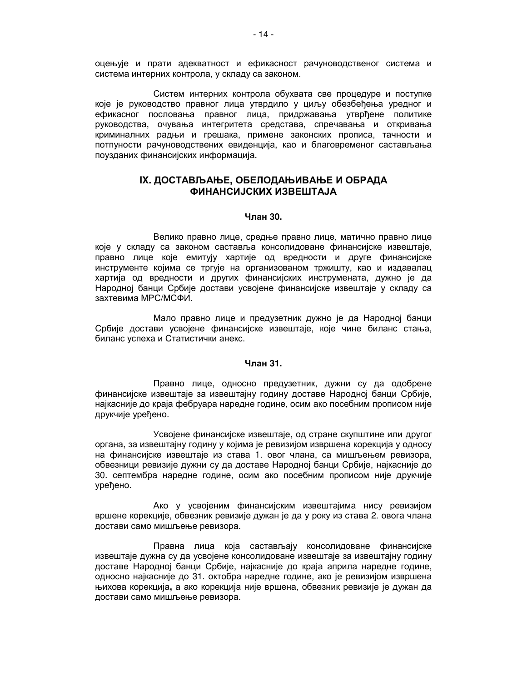оцењује и прати адекватност и ефикасност рачуноводственог система и система интерних контрола, у складу са законом.

Систем интерних контрола обухвата све процедуре и поступке које је руководство правног лица утврдило у циљу обезбеђења уредног и ефикасног пословања правног лица, придржавања утврђене политике руководства, очувања интегритета средстава, спречавања и откривања криминалних радњи и грешака, примене законских прописа, тачности и потпуности рачуноводствених евиденција, као и благовременог састављања поузданих финансијских информација.

# IX. ДОСТАВЉАЊЕ, ОБЕЛОДАЊИВАЊЕ И ОБРАДА **ФИНАНСИЈСКИХ ИЗВЕШТАЈА**

### Члан 30.

Велико правно лице, средње правно лице, матично правно лице које у складу са законом саставља консолидоване финансијске извештаје. правно лице које емитују хартије од вредности и друге финансијске инструменте којима се тргује на организованом тржишту, као и издавалац хартија од вредности и других финансијских инструмената, дужно је да Народној банци Србије достави усвојене финансијске извештаје у складу са захтевима МРС/МСФИ.

Мало правно лице и предузетник дужно је да Народној банци Србије достави усвојене финансијске извештаје, које чине биланс стања, биланс успеха и Статистички анекс.

### Члан 31.

Правно лице, односно предузетник, дужни су да одобрене финансијске извештаје за извештајну годину доставе Народној банци Србије. најкасније до краја фебруара наредне године, осим ако посебним прописом није друкчије уређено.

Усвојене финансијске извештаје, од стране скупштине или другог органа, за извештајну годину у којима је ревизијом извршена корекција у односу на финансијске извештаје из става 1. овог члана, са мишљењем ревизора, обвезници ревизије дужни су да доставе Народној банци Србије, најкасније до 30. септембра наредне године, осим ако посебним прописом није друкчије урећено.

Ако у усвојеним финансијским извештајима нису ревизијом вршене корекције, обвезник ревизије дужан је да у року из става 2. овога члана достави само мишљење ревизора.

Правна лица која састављају консолидоване финансијске извештаје дужна су да усвојене консолидоване извештаје за извештајну годину доставе Народној банци Србије, најкасније до краја априла наредне године, односно најкасније до 31. октобра наредне године, ако је ревизијом извршена њихова корекција, а ако корекција није вршена, обвезник ревизије је дужан да достави само мишљење ревизора.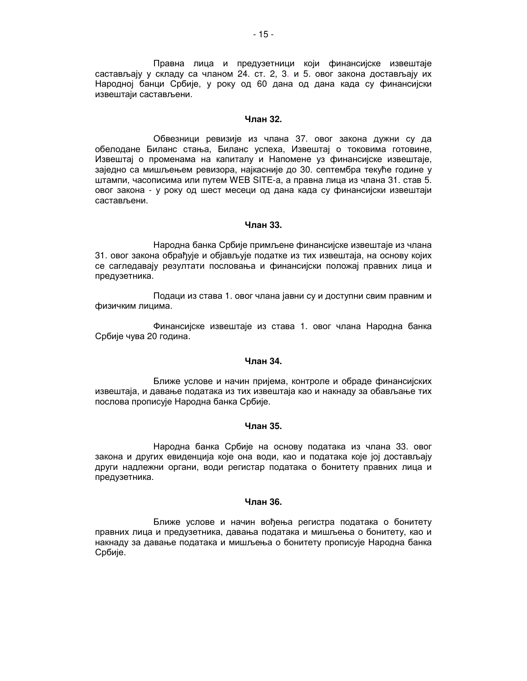Правна лица и предузетници који финансијске извештаје састављају у складу са чланом 24. ст. 2, 3. и 5. овог закона достављају их Народној банци Србије, у року од 60 дана од дана када су финансијски извештаји састављени.

### Чпан 32.

Обвезници ревизије из члана 37. овог закона дужни су да обелодане Биланс стања, Биланс успеха, Извештај о токовима готовине, Извештај о променама на капиталу и Напомене уз финансијске извештаје, заједно са мишљењем ревизора, најкасније до 30. септембра текуће године у штампи, часописима или путем WEB SITE-а, а правна лица из члана 31. став 5. овог закона - у року од шест месеци од дана када су финансијски извештаји састављени.

### Члан 33.

Народна банка Србије примљене финансијске извештаје из члана 31. овог закона обрађује и објављује податке из тих извештаја, на основу којих се сагледавају резултати пословања и финансијски положај правних лица и предузетника.

Подаци из става 1. овог члана јавни су и доступни свим правним и физичким лицима.

Финансијске извештаје из става 1. овог члана Народна банка Србије чува 20 година.

### Члан 34.

Ближе услове и начин пријема, контроле и обраде финансијских извештаја, и давање података из тих извештаја као и накнаду за обављање тих послова прописује Народна банка Србије.

# Члан 35.

Народна банка Србије на основу података из члана 33. овог закона и других евиденција које она води, као и података које јој достављају други надлежни органи, води регистар података о бонитету правних лица и предузетника.

# Члан 36.

Ближе услове и начин вођења регистра података о бонитету правних лица и предузетника, давања података и мишљења о бонитету, као и накнаду за давање података и мишљења о бонитету прописује Народна банка Србије.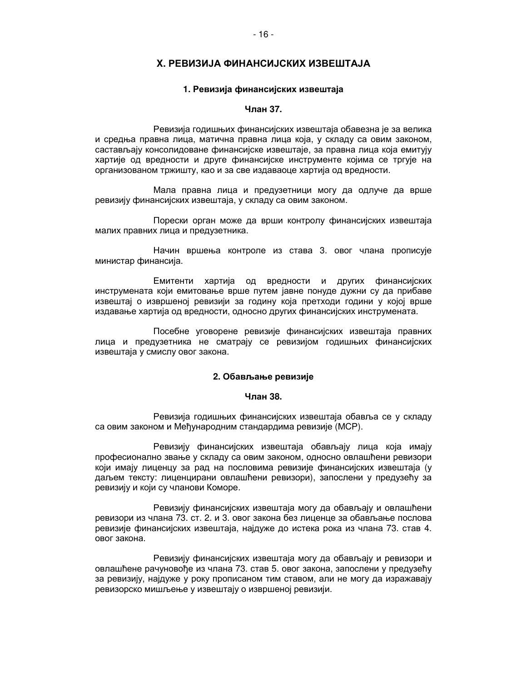# Х. РЕВИЗИЈА ФИНАНСИЈСКИХ ИЗВЕШТАЈА

### 1. Ревизија финансијских извештаја

# Члан 37.

Ревизија годишњих финансијских извештаја обавезна је за велика и средња правна лица, матична правна лица која, у складу са овим законом, састављају консолидоване финансијске извештаје, за правна лица која емитују хартије од вредности и друге финансијске инструменте којима се тргује на организованом тржишту, као и за све издаваоце хартија од вредности.

Мала правна лица и предузетници могу да одлуче да врше ревизију финансијских извештаја, у складу са овим законом.

Порески орган може да врши контролу финансијских извештаја малих правних лица и предузетника.

Начин вршења контроле из става 3. овог члана прописује министар финансија.

Емитенти хартија од вредности и других финансијских инструмената који емитовање врше путем јавне понуде дужни су да прибаве извештај о извршеној ревизији за годину која претходи години у којој врше издавање хартија од вредности, односно других финансијских инструмената.

Посебне уговорене ревизије финансијских извештаја правних лица и предузетника не сматрају се ревизијом годишњих финансијских извештаја у смислу овог закона.

#### 2. Обављање ревизије

# Члан 38.

Ревизија годишњих финансијских извештаја обавља се у складу са овим законом и Међународним стандардима ревизије (МСР).

Ревизију финансијских извештаја обављају лица која имају професионално звање у складу са овим законом, односно овлашћени ревизори који имају лиценцу за рад на пословима ревизије финансијских извештаја (у даљем тексту: лиценцирани овлашћени ревизори), запослени у предузећу за ревизију и који су чланови Коморе.

Ревизију финансијских извештаја могу да обављају и овлашћени ревизори из члана 73. ст. 2. и 3. овог закона без лиценце за обављање послова ревизије финансијских извештаја, најдуже до истека рока из члана 73. став 4. овог закона.

Ревизију финансијских извештаја могу да обављају и ревизори и овлашћене рачуновоће из члана 73. став 5. овог закона, запослени у предузећу за ревизију, најдуже у року прописаном тим ставом, али не могу да изражавају ревизорско мишљење у извештају о извршеној ревизији.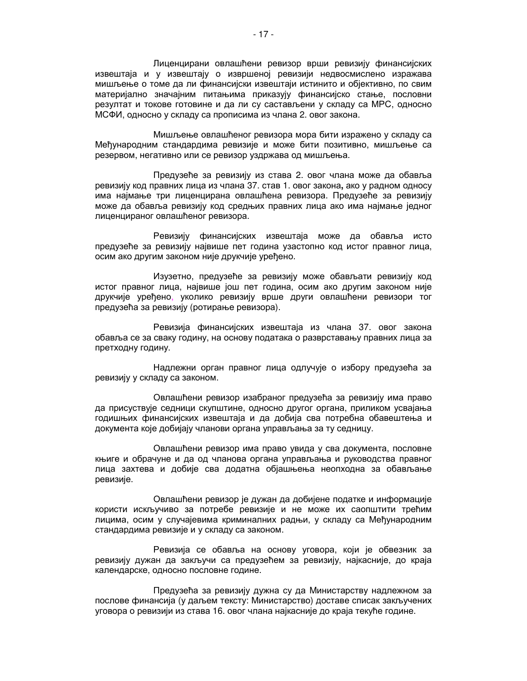Лиценцирани овлашћени ревизор врши ревизију финансијских извештаја и у извештају о извршеној ревизији недвосмислено изражава мишљење о томе да ли финансијски извештаји истинито и објективно, по свим материјално значајним питањима приказују финансијско стање, пословни резултат и токове готовине и да ли су састављени у складу са МРС, односно МСФИ, односно у складу са прописима из члана 2. овог закона.

Мишљење овлашћеног ревизора мора бити изражено у складу са Међународним стандардима ревизије и може бити позитивно, мишљење са резервом, негативно или се ревизор уздржава од мишљења.

Предузеће за ревизију из става 2. овог члана може да обавља ревизију код правних лица из члана 37. став 1. овог закона, ако у радном односу има најмање три лиценцирана овлашћена ревизора. Предузеће за ревизију може да обавља ревизију код средњих правних лица ако има најмање једног лиценцираног овлашћеног ревизора.

Ревизију финансијских извештаја може да обавља исто предузеће за ревизију највише пет година узастопно код истог правног лица, осим ако другим законом није друкчије уређено.

Изузетно, предузеће за ревизију може обављати ревизију код истог правног лица, највише још пет година, осим ако другим законом није друкчије уређено, уколико ревизију врше други овлашћени ревизори тог предузећа за ревизију (ротирање ревизора).

Ревизија финансијских извештаја из члана 37. овог закона обавља се за сваку годину, на основу података о разврставању правних лица за претходну годину.

Надлежни орган правног лица одлучује о избору предузећа за ревизију у складу са законом.

Овлашћени ревизор изабраног предузећа за ревизију има право да присуствује седници скупштине, односно другог органа, приликом усвајања годишњих финансијских извештаја и да добија сва потребна обавештења и документа које добијају чланови органа управљања за ту седницу.

Овлашћени ревизор има право увида у сва документа, пословне књиге и обрачуне и да од чланова органа управљања и руководства правног лица захтева и добије сва додатна објашњења неопходна за обављање ревизије.

Овлашћени ревизор је дужан да добијене податке и информације користи искључиво за потребе ревизије и не може их саопштити трећим лицима, осим у случајевима криминалних радњи, у складу са Међународним стандардима ревизије и у складу са законом.

Ревизија се обавља на основу уговора, који је обвезник за ревизију дужан да закључи са предузећем за ревизију, најкасније, до краја календарске, односно пословне године.

Предузећа за ревизију дужна су да Министарству надлежном за послове финансија (у даљем тексту: Министарство) доставе списак закључених уговора о ревизији из става 16. овог члана најкасније до краја текуће године.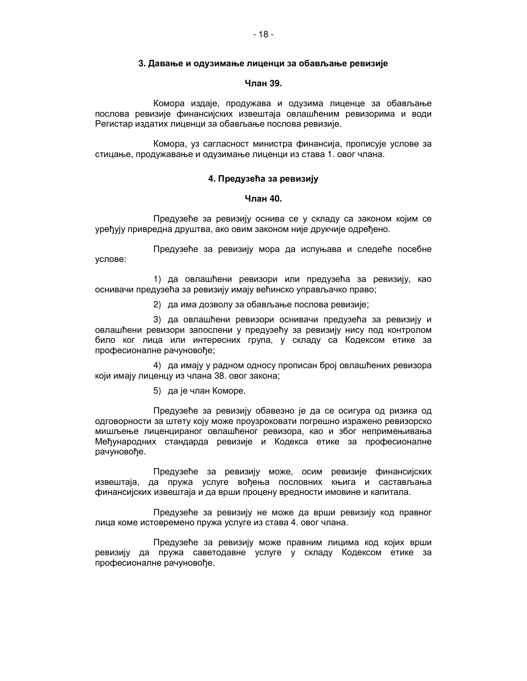### 3. Давање и одузимање лиценци за обављање ревизије

### Члан 39.

Комора издаје, продужава и одузима лиценце за обављање послова ревизије финансијских извештаја овлашћеним ревизорима и води Регистар издатих лиценци за обављање послова ревизије.

Комора, уз сагласност министра финансија, прописује услове за стицање, продужавање и одузимање лиценци из става 1. овог члана.

### 4. Предузећа за ревизију

# Члан 40.

Предузеће за ревизију оснива се у складу са законом којим се уређују привредна друштва, ако овим законом није друкчије одређено.

Предузеће за ревизију мора да испуњава и следеће посебне услове:

1) да овлашћени ревизори или предузећа за ревизију, као оснивачи предузећа за ревизију имају већинско управљачко право;

2) да има дозволу за обављање послова ревизије;

3) да овлашћени ревизори оснивачи предузећа за ревизију и овлашћени ревизори запослени у предузећу за ревизију нису под контролом било ког лица или интересних група, у складу са Кодексом етике за професионалне рачуновође;

4) да имају у радном односу прописан број овлашћених ревизора који имају лиценцу из члана 38. овог закона;

5) да је члан Коморе.

Предузеће за ревизију обавезно је да се осигура од ризика од одговорности за штету коју може проузроковати погрешно изражено ревизорско мишљење лиценцираног овлашћеног ревизора, као и због непримењивања Међународних стандарда ревизије и Кодекса етике за професионалне рачуновође.

Предузеће за ревизију може, осим ревизије финансијских извештаја, да пружа услуге вођења пословних књига и састављања финансијских извештаја и да врши процену вредности имовине и капитала.

Предузеће за ревизију не може да врши ревизију код правног лица коме истовремено пружа услуге из става 4. овог члана.

Предузеће за ревизију може правним лицима код којих врши ревизију да пружа саветодавне услуге у складу Кодексом етике за професионалне рачуновође.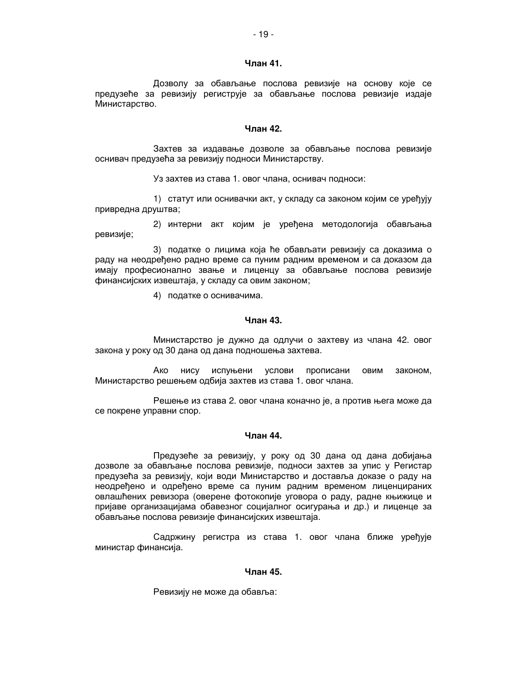### Члан 41.

Дозволу за обављање послова ревизије на основу које се предузеће за ревизију региструје за обављање послова ревизије издаје Министарство.

# Чпан 42.

Захтев за издавање дозволе за обављање послова ревизије оснивач предузећа за ревизију подноси Министарству.

Уз захтев из става 1. овог члана, оснивач подноси:

1) статут или оснивачки акт, у складу са законом којим се уређују привредна друштва;

2) интерни акт којим је уређена методологија обављања ревизије;

3) податке о лицима која ће обављати ревизију са доказима о раду на неодређено радно време са пуним радним временом и са доказом да имају професионално звање и лиценцу за обављање послова ревизије финансијских извештаја, у складу са овим законом;

4) податке о оснивачима.

# Члан 43.

Министарство је дужно да одлучи о захтеву из члана 42. овог закона у року од 30 дана од дана подношења захтева.

Ако нису испуњени услови прописани овим законом. Министарство решењем одбија захтев из става 1. овог члана.

Решење из става 2. овог члана коначно је, а против њега може да се покрене управни спор.

# Чпан 44.

Предузеће за ревизију, у року од 30 дана од дана добијања дозволе за обављање послова ревизије, подноси захтев за упис у Регистар предузећа за ревизију, који води Министарство и доставља доказе о раду на неодређено и одређено време са пуним радним временом лиценцираних овлашћених ревизора (оверене фотокопије уговора о раду, радне књижице и пријаве организацијама обавезног социјалног осигурања и др.) и лиценце за обављање послова ревизије финансијских извештаја.

Садржину регистра из става 1. овог члана ближе уређује министар финансија.

### Члан 45.

Ревизију не може да обавља: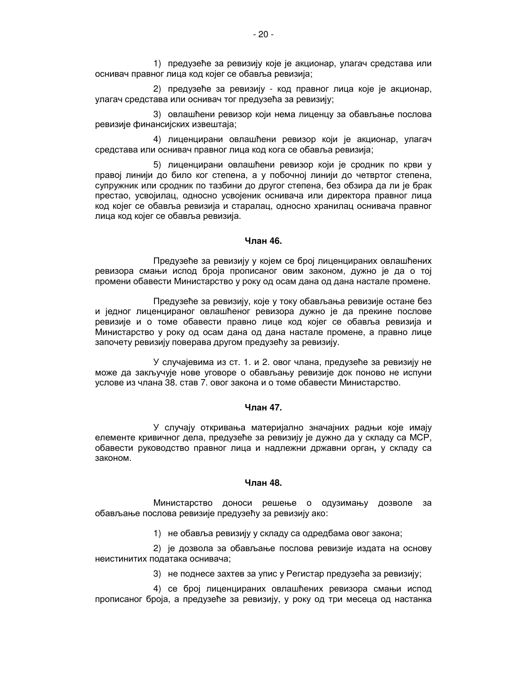1) предузеће за ревизију које је акционар, улагач средстава или оснивач правног лица код којег се обавља ревизија;

2) предузеће за ревизију - код правног лица које је акционар, улагач средстава или оснивач тог предузећа за ревизију;

3) овлашћени ревизор који нема лиценцу за обављање послова ревизије финансијских извештаја;

4) лиценцирани овлашћени ревизор који је акционар, улагач средстава или оснивач правног лица код кога се обавља ревизија;

5) лиценцирани овлашћени ревизор који је сродник по крви у правој линији до било ког степена, а у побочној линији до четвртог степена, супружник или сродник по тазбини до другог степена, без обзира да ли је брак престао, усвојилац, односно усвојеник оснивача или директора правног лица код којег се обавља ревизија и старалац, односно хранилац оснивача правног лица код којег се обавља ревизија.

# Члан 46.

Предузеће за ревизију у којем се број лиценцираних овлашћених ревизора смањи испод броја прописаног овим законом, дужно је да о тој промени обавести Министарство у року од осам дана од дана настале промене.

Предузеће за ревизију, које у току обављања ревизије остане без и једног лиценцираног овлашћеног ревизора дужно је да прекине послове ревизије и о томе обавести правно лице код којег се обавља ревизија и Министарство у року од осам дана од дана настале промене, а правно лице започету ревизију поверава другом предузећу за ревизију.

У случајевима из ст. 1. и 2. овог члана, предузеће за ревизију не може да закључује нове уговоре о обављању ревизије док поново не испуни услове из члана 38. став 7. овог закона и о томе обавести Министарство.

# Члан 47.

У случају откривања материјално значајних радњи које имају елементе кривичног дела, предузеће за ревизију је дужно да у складу са МСР, обавести руководство правног лица и надлежни државни орган, у складу са законом.

# Члан 48.

Министарство доноси решење о одузимању дозволе за обављање послова ревизије предузећу за ревизију ако:

1) не обавља ревизију у складу са одредбама овог закона;

2) је дозвола за обављање послова ревизије издата на основу неистинитих података оснивача;

3) не поднесе захтев за упис у Регистар предузећа за ревизију;

4) се број лиценцираних овлашћених ревизора смањи испод прописаног броја, а предузеће за ревизију, у року од три месеца од настанка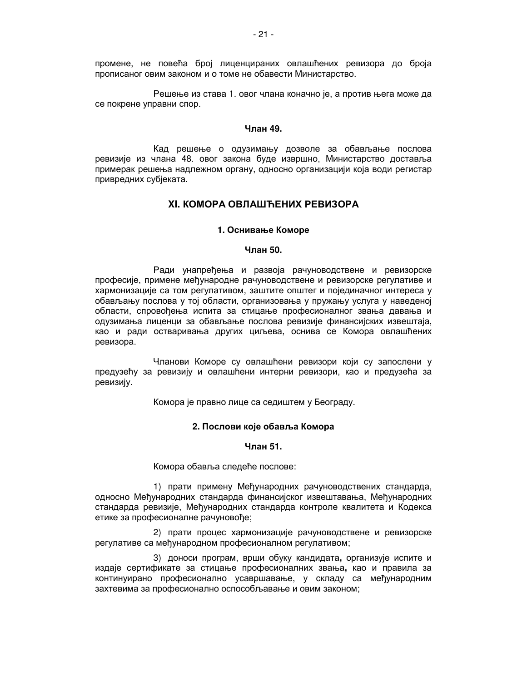промене, не повећа број лиценцираних овлашћених ревизора до броја прописаног овим законом и о томе не обавести Министарство.

Решење из става 1. овог члана коначно је, а против њега може да се покрене управни спор.

### Чпан 49.

Кад решење о одузимању дозволе за обављање послова ревизије из члана 48. овог закона буде извршно, Министарство доставља примерак решења надлежном органу, односно организацији која води регистар привредних субјеката.

# ХІ. КОМОРА ОВЛАШЋЕНИХ РЕВИЗОРА

### 1. Оснивање Коморе

### Члан 50.

Ради унапређења и развоја рачуноводствене и ревизорске професије, примене међународне рачуноводствене и ревизорске регулативе и хармонизације са том регулативом, заштите општег и појединачног интереса у обављању послова у тој области, организовања у пружању услуга у наведеној области, спровођења испита за стицање професионалног звања давања и одузимања лиценци за обављање послова ревизије финансијских извештаја, као и ради остваривања других циљева, оснива се Комора овлашћених ревизора.

Чланови Коморе су овлашћени ревизори који су запослени у предузећу за ревизију и овлашћени интерни ревизори, као и предузећа за ревизију.

Комора је правно лице са седиштем у Београду.

### 2. Послови које обавља Комора

#### Члан 51.

Комора обавља следеће послове:

1) прати примену Међународних рачуноводствених стандарда, односно Међународних стандарда финансијског извештавања, Међународних стандарда ревизије, Међународних стандарда контроле квалитета и Кодекса етике за професионалне рачуновође;

2) прати процес хармонизације рачуноводствене и ревизорске регулативе са међународном професионалном регулативом;

3) доноси програм, врши обуку кандидата, организује испите и издаје сертификате за стицање професионалних звања, као и правила за континуирано професионално усавршавање, у складу са међународним захтевима за професионално оспособљавање и овим законом;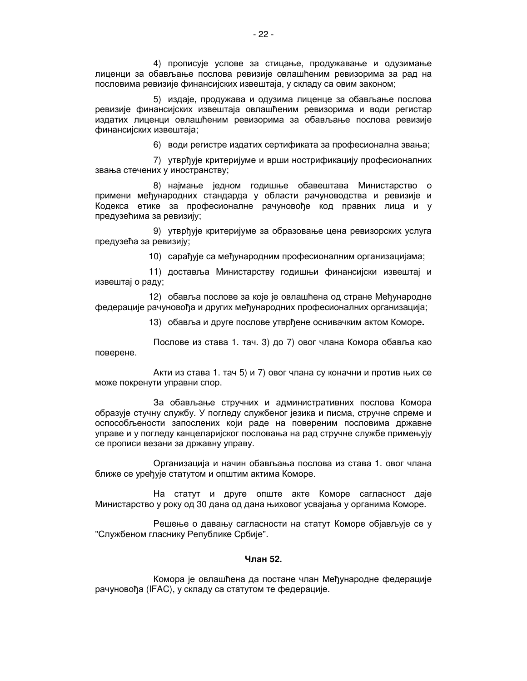4) прописује услове за стицање, продужавање и одузимање лиценци за обављање послова ревизије овлашћеним ревизорима за рад на пословима ревизије финансијских извештаја, у складу са овим законом;

5) издаје, продужава и одузима лиценце за обављање послова ревизије финансијских извештаја овлашћеним ревизорима и води регистар издатих лиценци овлашћеним ревизорима за обављање послова ревизије финансијских извештаја;

6) води регистре издатих сертификата за професионална звања;

7) утврђује критеријуме и врши нострификацију професионалних звања стечених у иностранству;

8) најмање једном годишње обавештава Министарство о примени међународних стандарда у области рачуноводства и ревизије и Кодекса етике за професионалне рачуновође код правних лица и у предузећима за ревизију;

9) утврђује критеријуме за образовање цена ревизорских услуга предузећа за ревизију;

10) сарађује са међународним професионалним организацијама;

11) доставља Министарству годишњи финансијски извештај и извештај о раду;

12) обавља послове за које је овлашћена од стране Међународне федерације рачуновођа и других међународних професионалних организација;

13) обавља и друге послове утврђене оснивачким актом Коморе.

Послове из става 1. тач. 3) до 7) овог члана Комора обавља као поверене.

Акти из става 1. тач 5) и 7) овог члана су коначни и против њих се може покренути управни спор.

За обављање стручних и административних послова Комора образује стучну службу. У погледу службеног језика и писма, стручне спреме и оспособљености запослених који раде на повереним пословима државне управе и у погледу канцеларијског пословања на рад стручне службе примењују се прописи везани за државну управу.

Организација и начин обављања послова из става 1. овог члана ближе се уређује статутом и општим актима Коморе.

На статут и друге опште акте Коморе сагласност даје Министарство у року од 30 дана од дана њиховог усвајања у органима Коморе.

Решење о давању сагласности на статут Коморе објављује се у "Службеном гласнику Републике Србије".

# Члан 52.

Комора је овлашћена да постане члан Међународне федерације рачуновођа (IFAC), у складу са статутом те федерације.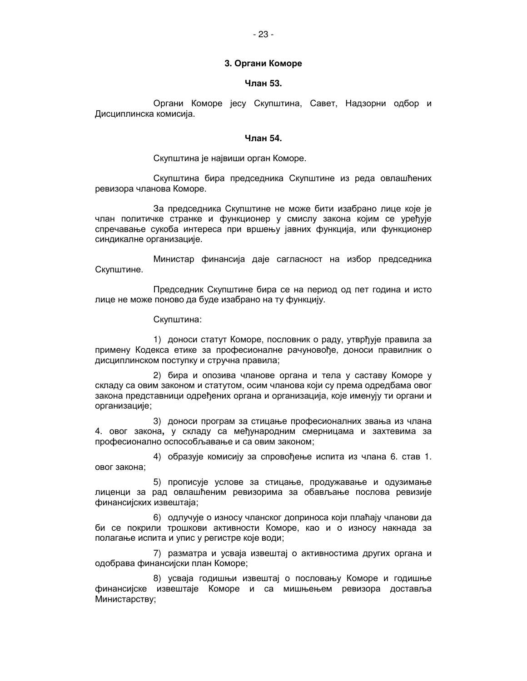### 3. Органи Коморе

# Члан 53.

Органи Коморе јесу Скупштина, Савет, Надзорни одбор и Дисциплинска комисија.

### Члан 54.

Скупштина је највиши орган Коморе.

Скупштина бира председника Скупштине из реда овлашћених ревизора чланова Коморе.

За председника Скупштине не може бити изабрано лице које је члан политичке странке и функционер у смислу закона којим се уређује спречавање сукоба интереса при вршењу јавних функција, или функционер синдикалне организације.

Министар финансија даје сагласност на избор председника Скупштине.

Председник Скупштине бира се на период од пет година и исто лице не може поново да буде изабрано на ту функцију.

Скупштина:

1) доноси статут Коморе, пословник о раду, утврђује правила за примену Кодекса етике за професионалне рачуновође, доноси правилник о дисциплинском поступку и стручна правила;

2) бира и опозива чланове органа и тела у саставу Коморе у складу са овим законом и статутом, осим чланова који су према одредбама овог закона представници одређених органа и организација, које именују ти органи и организације;

3) доноси програм за стицање професионалних звања из члана 4. овог закона, у складу са међународним смерницама и захтевима за професионално оспособљавање и са овим законом;

4) образује комисију за спровођење испита из члана 6. став 1. овог закона;

5) прописује услове за стицање, продужавање и одузимање лиценци за рад овлашћеним ревизорима за обављање послова ревизије финансијских извештаја;

6) одлучује о износу чланског доприноса који плаћају чланови да би се покрили трошкови активности Коморе, као и о износу накнада за полагање испита и упис у регистре које води;

7) разматра и усваја извештај о активностима других органа и одобрава финансијски план Коморе;

8) усваја годишњи извештај о пословању Коморе и годишње финансијске извештаје Коморе и са мишњењем ревизора доставља Министарству;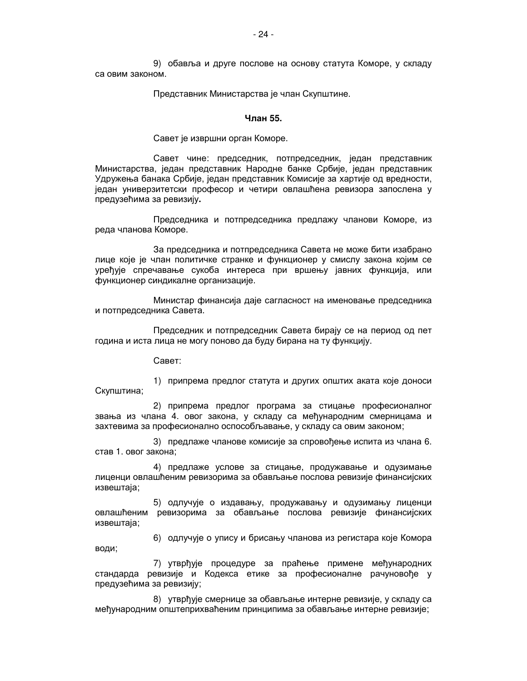9) обавља и друге послове на основу статута Коморе, у складу са овим законом.

Представник Министарства је члан Скупштине.

### Члан 55.

Савет је извршни орган Коморе.

Савет чине: председник, потпредседник, један представник Министарства, један представник Народне банке Србије, један представник Удружења банака Србије, један представник Комисије за хартије од вредности, један универзитетски професор и четири овлашћена ревизора запослена у предузећима за ревизију.

Председника и потпредседника предлажу чланови Коморе, из реда чланова Коморе.

За председника и потпредседника Савета не може бити изабрано лице које је члан политичке странке и функционер у смислу закона којим се уређује спречавање сукоба интереса при вршењу јавних функција, или функционер синдикалне организације.

Министар финансија даје сагласност на именовање председника и потпредседника Савета.

Председник и потпредседник Савета бирају се на период од пет година и иста лица не могу поново да буду бирана на ту функцију.

Савет:

1) припрема предлог статута и других општих аката које доноси Скупштина;

2) припрема предлог програма за стицање професионалног звања из члана 4. овог закона, у складу са међународним смерницама и захтевима за професионално оспособљавање, у складу са овим законом;

3) предлаже чланове комисије за спровођење испита из члана 6. став 1. овог закона:

4) предлаже услове за стицање, продужавање и одузимање лиценци овлашћеним ревизорима за обављање послова ревизије финансијских извештаја;

5) одлучује о издавању, продужавању и одузимању лиценци овлашћеним ревизорима за обављање послова ревизије финансијских извештаја;

6) одлучује о упису и брисању чланова из регистара које Комора води;

7) утврђује процедуре за праћење примене међународних стандарда ревизије и Кодекса етике за професионалне рачуновође у предузећима за ревизију;

8) утврђује смернице за обављање интерне ревизије, у складу са међународним општеприхваћеним принципима за обављање интерне ревизије;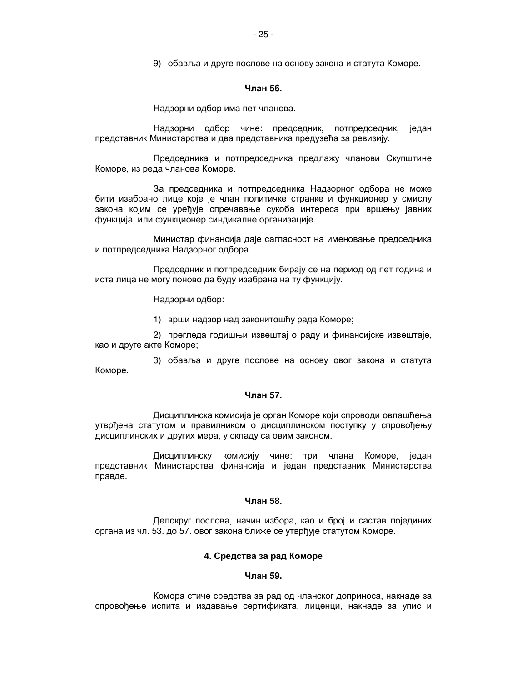9) обавља и друге послове на основу закона и статута Коморе.

#### Члан 56.

Надзорни одбор има пет чланова.

Надзорни одбор чине: председник, потпредседник, један представник Министарства и два представника предузећа за ревизију.

Председника и потпредседника предлажу чланови Скупштине Коморе, из реда чланова Коморе.

За председника и потпредседника Надзорног одбора не може бити изабрано лице које је члан политичке странке и функционер у смислу закона којим се уређује спречавање сукоба интереса при вршењу јавних функција, или функционер синдикалне организације.

Министар финансија даје сагласност на именовање председника и потпредседника Надзорног одбора.

Председник и потпредседник бирају се на период од пет година и иста лица не могу поново да буду изабрана на ту функцију.

Надзорни одбор:

1) врши надзор над законитошћу рада Коморе;

2) прегледа годишњи извештај о раду и финансијске извештаје, као и друге акте Коморе;

3) обавља и друге послове на основу овог закона и статута Коморе.

# Члан 57.

Дисциплинска комисија је орган Коморе који спроводи овлашћења утврђена статутом и правилником о дисциплинском поступку у спровођењу дисциплинских и других мера, у складу са овим законом.

Дисциплинску комисију чине: три члана Коморе, један представник Министарства финансија и један представник Министарства правде.

# **Чпан 58**

Делокруг послова, начин избора, као и број и састав појединих органа из чл. 53. до 57. овог закона ближе се утврђује статутом Коморе.

### 4. Средства за рад Коморе

### Члан 59.

Комора стиче средства за рад од чланског доприноса, накнаде за спровођење испита и издавање сертификата, лиценци, накнаде за упис и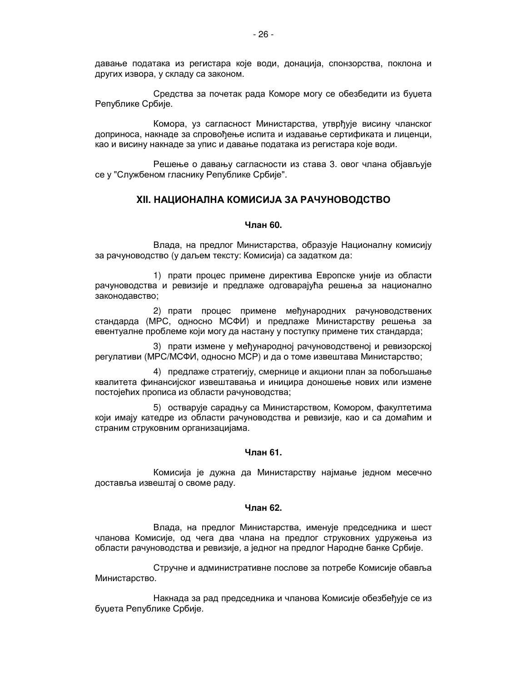давање података из регистара које води, донација, спонзорства, поклона и других извора, у складу са законом.

Средства за почетак рада Коморе могу се обезбедити из буџета Републике Србије.

Комора, уз сагласност Министарства, утврђује висину чланског доприноса, накнаде за спровођење испита и издавање сертификата и лиценци, као и висину накнаде за упис и давање података из регистара које води.

Решење о давању сагласности из става 3. овог члана објављује се у "Службеном гласнику Републике Србије".

# **XII. НАЦИОНАЛНА КОМИСИЈА ЗА РАЧУНОВОДСТВО**

### Члан 60.

Влада, на предлог Министарства, образује Националну комисију за рачуноводство (у даљем тексту: Комисија) са задатком да:

1) прати процес примене директива Европске уније из области рачуноводства и ревизије и предлаже одговарајућа решења за национално законодавство;

2) прати процес примене међународних рачуноводствених стандарда (МРС, односно МСФИ) и предлаже Министарству решења за евентуалне проблеме који могу да настану у поступку примене тих стандарда;

3) прати измене у међународној рачуноводственој и ревизорској регулативи (МРС/МСФИ, односно МСР) и да о томе извештава Министарство;

4) предлаже стратегију, смернице и акциони план за побољшање квалитета финансијског извештавања и иницира доношење нових или измене постојећих прописа из области рачуноводства;

5) остварује сарадњу са Министарством, Комором, факултетима који имају катедре из области рачуноводства и ревизије, као и са домаћим и страним струковним организацијама.

### Чпан 61.

Комисија је дужна да Министарству најмање једном месечно доставља извештај о своме раду.

### Члан 62.

Влада, на предлог Министарства, именује председника и шест чланова Комисије, од чега два члана на предлог струковних удружења из области рачуноводства и ревизије, а једног на предлог Народне банке Србије.

Стручне и административне послове за потребе Комисије обавља Министарство.

Накнада за рад председника и чланова Комисије обезбећује се из буџета Републике Србије.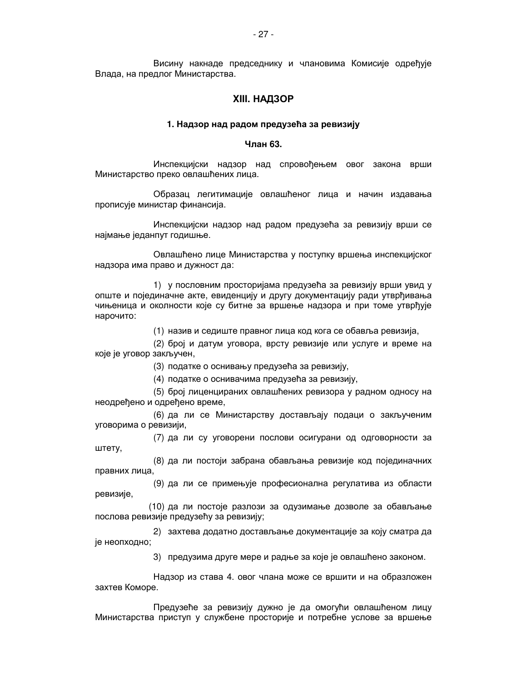Висину накнаде председнику и члановима Комисије одређује Влада, на предлог Министарства.

# **ХІІІ. НАДЗОР**

### 1. Надзор над радом предузећа за ревизију

# Члан 63.

Инспекцијски надзор над спровођењем овог закона врши Министарство преко овлашћених лица.

Образац легитимације овлашћеног лица и начин издавања прописује министар финансија.

Инспекцијски надзор над радом предузећа за ревизију врши се најмање једанпут годишње.

Овлашћено лице Министарства у поступку вршења инспекцијског надзора има право и дужност да:

1) у пословним просторијама предузећа за ревизију врши увид у опште и појединачне акте, евиденцију и другу документацију ради утврђивања чињеница и околности које су битне за вршење надзора и при томе утврђује нарочито:

(1) назив и седиште правног лица код кога се обавља ревизија,

(2) број и датум уговора, врсту ревизије или услуге и време на које је уговор закључен,

(3) податке о оснивању предузећа за ревизију,

(4) податке о оснивачима предузећа за ревизију,

(5) број лиценцираних овлашћених ревизора у радном односу на неодређено и одређено време,

(6) да ли се Министарству достављају подаци о закљученим уговорима о ревизији,

(7) да ли су уговорени послови осигурани од одговорности за штету,

(8) да ли постоји забрана обављања ревизије код појединачних правних лица,

(9) да ли се примењује професионална регулатива из области ревизије,

(10) да ли постоје разлози за одузимање дозволе за обављање послова ревизије предузећу за ревизију;

2) захтева додатно достављање документације за коју сматра да је неопходно;

3) предузима друге мере и радње за које је овлашћено законом.

Надзор из става 4. овог члана може се вршити и на образложен захтев Коморе.

Предузеће за ревизију дужно је да омогући овлашћеном лицу Министарства приступ у службене просторије и потребне услове за вршење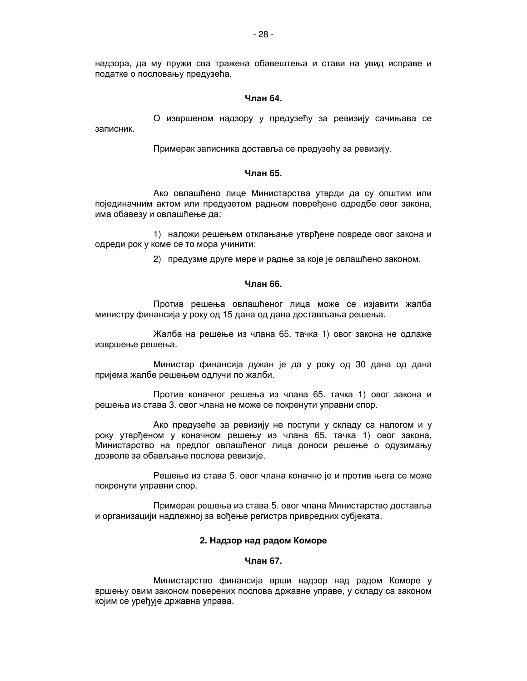надзора, да му пружи сва тражена обавештења и стави на увид исправе и податке о пословању предузећа.

# Чпан 64.

О извршеном надзору у предузећу за ревизију сачињава се записник.

Примерак записника доставља се предузећу за ревизију.

# Чпан 65

Ако овлашћено лице Министарства утврди да су општим или појединачним актом или предузетом радњом повређене одредбе овог закона, има обавезу и овлашћење да:

1) наложи решењем отклањање утврђене повреде овог закона и одреди рок у коме се то мора учинити;

2) предузме друге мере и радње за које је овлашћено законом.

# Члан 66.

Против решења овлашћеног лица може се изјавити жалба министру финансија у року од 15 дана од дана достављања решења.

Жалба на решење из члана 65. тачка 1) овог закона не одлаже извршење решења.

Министар финансија дужан је да у року од 30 дана од дана пријема жалбе решењем одлучи по жалби.

Против коначног решења из члана 65. тачка 1) овог закона и решења из става 3. овог члана не може се покренути управни спор.

Ако предузеће за ревизију не поступи у складу са налогом и у року утврђеном у коначном решењу из члана 65. тачка 1) овог закона, Министарство на предлог овлашћеног лица доноси решење о одузимању дозволе за обављање послова ревизије.

Решење из става 5. овог члана коначно је и против њега се може покренути управни спор.

Примерак решења из става 5. овог члана Министарство доставља и организацији надлежној за вођење регистра привредних субјеката.

# 2. Надзор над радом Коморе

### Чпан 67.

Министарство финансија врши надзор над радом Коморе у вршењу овим законом поверених послова државне управе, у складу са законом којим се уређује државна управа.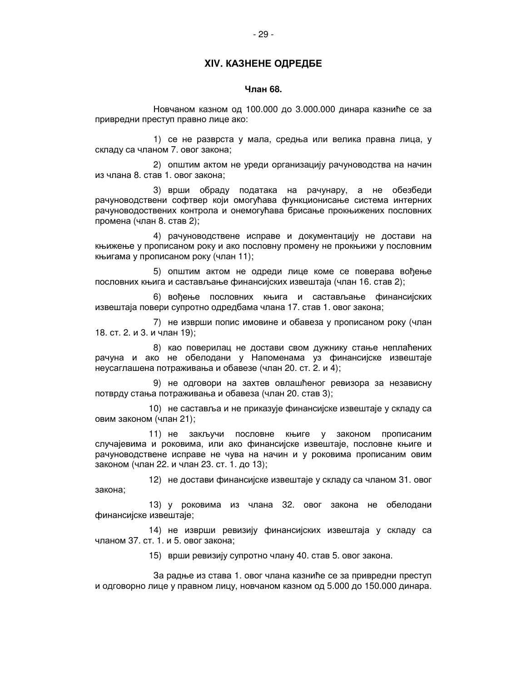# **XIV. КАЗНЕНЕ ОДРЕДБЕ**

### Члан 68.

Новчаном казном од 100.000 до 3.000.000 динара казниће се за привредни преступ правно лице ако:

1) се не разврста у мала, средња или велика правна лица, у складу са чланом 7. овог закона;

2) општим актом не уреди организацију рачуноводства на начин из члана 8. став 1. овог закона;

3) врши обраду података на рачунару, а не обезбеди рачуноводствени софтвер који омогућава функционисање система интерних рачуноводоствених контрола и онемогућава брисање прокњижених пословних промена (члан 8. став 2);

4) рачуноводствене исправе и документацију не достави на књижење у прописаном року и ако пословну промену не прокњижи у пословним књигама у прописаном року (члан 11);

5) општим актом не одреди лице коме се поверава вођење пословних књига и састављање финансијских извештаја (члан 16. став 2);

6) вођење пословних књига и састављање финансијских извештаја повери супротно одредбама члана 17. став 1. овог закона;

7) не изврши попис имовине и обавеза у прописаном року (члан 18. ст. 2. и 3. и члан 19);

8) као поверилац не достави свом дужнику стање неплаћених рачуна и ако не обелодани у Напоменама уз финансијске извештаје неусаглашена потраживања и обавезе (члан 20. ст. 2. и 4);

9) не одговори на захтев овлашћеног ревизора за независну потврду стања потраживања и обавеза (члан 20. став 3);

10) не саставља и не приказује финансијске извештаје у складу са овим законом (члан 21);

11) не закључи пословне књиге у законом прописаним случајевима и роковима, или ако финансијске извештаје, пословне књиге и рачуноводствене исправе не чува на начин и у роковима прописаним овим законом (члан 22. и члан 23. ст. 1. до 13);

12) не достави финансијске извештаје у складу са чланом 31. овог закона:

13) у роковима из члана 32. овог закона не обелодани финансијске извештаје;

14) не изврши ревизију финансијских извештаја у складу са чланом 37, ст. 1, и 5, овог закона:

15) врши ревизију супротно члану 40. став 5. овог закона.

За радње из става 1. овог члана казниће се за привредни преступ и одговорно лице у правном лицу, новчаном казном од 5.000 до 150.000 динара.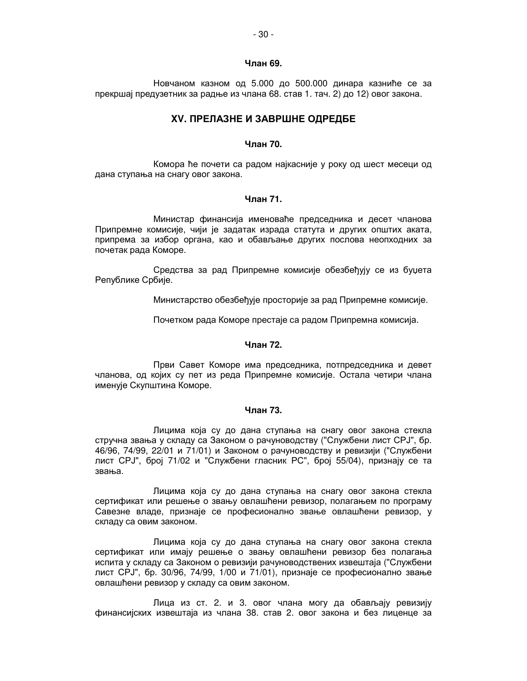# Члан 69.

Новчаном казном од 5.000 до 500.000 динара казниће се за прекршај предузетник за радње из члана 68. став 1. тач. 2) до 12) овог закона.

# **XV. ПРЕЛАЗНЕ И ЗАВРШНЕ ОДРЕДБЕ**

# Члан 70.

Комора ће почети са радом најкасније у року од шест месеци од дана ступања на снагу овог закона.

### Члан 71.

Министар финансија именоваће председника и десет чланова Припремне комисије, чији је задатак израда статута и других општих аката, припрема за избор органа, као и обављање других послова неопходних за почетак рада Коморе.

Средства за рад Припремне комисије обезбеђују се из буџета Републике Србије.

Министарство обезбеђује просторије за рад Припремне комисије.

Почетком рада Коморе престаје са радом Припремна комисија.

# Члан 72.

Први Савет Коморе има председника, потпредседника и девет чланова, од којих су пет из реда Припремне комисије. Остала четири члана именује Скупштина Коморе.

# Члан 73.

Лицима која су до дана ступања на снагу овог закона стекла стручна звања у складу са Законом о рачуноводству ("Службени лист СРЈ", бр. 46/96, 74/99, 22/01 и 71/01) и Законом о рачуноводству и ревизији ("Службени лист СРЈ", број 71/02 и "Службени гласник РС", број 55/04), признају се та звања.

Лицима која су до дана ступања на снагу овог закона стекла сертификат или решење о звању овлашћени ревизор, полагањем по програму Савезне владе, признаје се професионално звање овлашћени ревизор, у складу са овим законом.

Лицима која су до дана ступања на снагу овог закона стекла сертификат или имају решење о звању овлашћени ревизор без полагања испита у складу са Законом о ревизији рачуноводствених извештаја ("Службени лист СРЈ", бр. 30/96, 74/99, 1/00 и 71/01), признаје се професионално звање овлашћени ревизор у складу са овим законом.

Лица из ст. 2. и 3. овог члана могу да обављају ревизију финансијских извештаја из члана 38. став 2. овог закона и без лиценце за